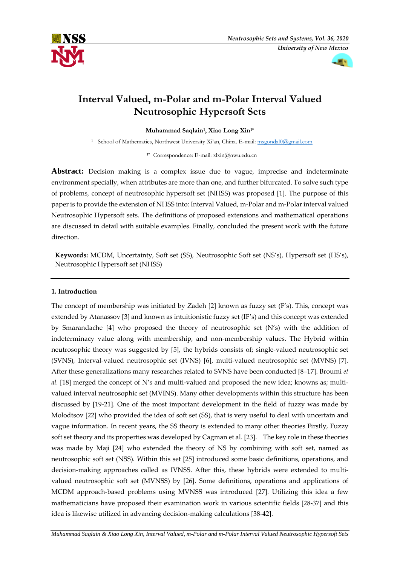



# **Interval Valued, m-Polar and m-Polar Interval Valued Neutrosophic Hypersoft Sets**

**Muhammad Saqlain<sup>1</sup> , Xiao Long Xin1\*** 

<sup>1</sup> School of Mathematics, Northwest University Xi'an, China. E-mail: [msgondal0@gmail.com](mailto:msgondal0@gmail.com)

**1\*** Correspondence: E-mail: xlxin@nwu.edu.cn

**Abstract:** Decision making is a complex issue due to vague, imprecise and indeterminate environment specially, when attributes are more than one, and further bifurcated. To solve such type of problems, concept of neutrosophic hypersoft set (NHSS) was proposed [1]. The purpose of this paper is to provide the extension of NHSS into: Interval Valued, m-Polar and m-Polar interval valued Neutrosophic Hypersoft sets. The definitions of proposed extensions and mathematical operations are discussed in detail with suitable examples. Finally, concluded the present work with the future direction.

**Keywords:** MCDM, Uncertainty, Soft set (SS), Neutrosophic Soft set (NS's), Hypersoft set (HS's), Neutrosophic Hypersoft set (NHSS)

# **1. Introduction**

The concept of membership was initiated by Zadeh [2] known as fuzzy set (F's). This, concept was extended by Atanassov [3] and known as intuitionistic fuzzy set (IF's) and this concept was extended by Smarandache [4] who proposed the theory of neutrosophic set (N's) with the addition of indeterminacy value along with membership, and non-membership values. The Hybrid within neutrosophic theory was suggested by [5], the hybrids consists of; single-valued neutrosophic set (SVNS), Interval-valued neutrosophic set (IVNS) [6], multi-valued neutrosophic set (MVNS) [7]. After these generalizations many researches related to SVNS have been conducted [8–17]. Broumi *et al.* [18] merged the concept of N's and multi-valued and proposed the new idea; knowns as; multivalued interval neutrosophic set (MVINS). Many other developments within this structure has been discussed by [19-21]. One of the most important development in the field of fuzzy was made by Molodtsov [22] who provided the idea of soft set (SS), that is very useful to deal with uncertain and vague information. In recent years, the SS theory is extended to many other theories Firstly, Fuzzy soft set theory and its properties was developed by Cagman et al. [23]. The key role in these theories was made by Maji [24] who extended the theory of NS by combining with soft set, named as neutrosophic soft set (NSS). Within this set [25] introduced some basic definitions, operations, and decision-making approaches called as IVNSS. After this, these hybrids were extended to multivalued neutrosophic soft set (MVNSS) by [26]. Some definitions, operations and applications of MCDM approach-based problems using MVNSS was introduced [27]. Utilizing this idea a few mathematicians have proposed their examination work in various scientific fields [28-37] and this idea is likewise utilized in advancing decision-making calculations [38-42].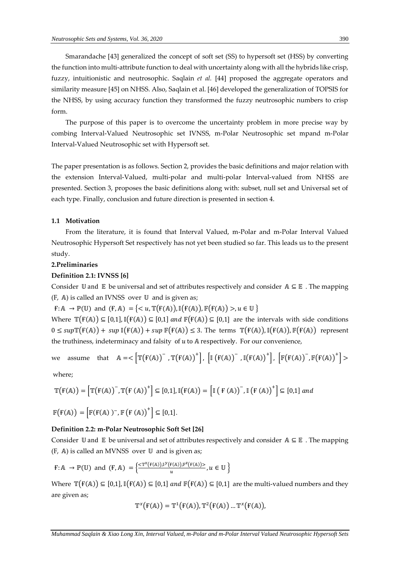Smarandache [43] generalized the concept of soft set (SS) to hypersoft set (HSS) by converting the function into multi-attribute function to deal with uncertainty along with all the hybrids like crisp, fuzzy, intuitionistic and neutrosophic. Saqlain *et al.* [44] proposed the aggregate operators and similarity measure [45] on NHSS. Also, Saqlain et al. [46] developed the generalization of TOPSIS for the NHSS, by using accuracy function they transformed the fuzzy neutrosophic numbers to crisp form.

The purpose of this paper is to overcome the uncertainty problem in more precise way by combing Interval-Valued Neutrosophic set IVNSS, m-Polar Neutrosophic set mpand m-Polar Interval-Valued Neutrosophic set with Hypersoft set.

The paper presentation is as follows. Section 2, provides the basic definitions and major relation with the extension Interval-Valued, multi-polar and multi-polar Interval-valued from NHSS are presented. Section 3, proposes the basic definitions along with: subset, null set and Universal set of each type. Finally, conclusion and future direction is presented in section 4.

# **1.1 Motivation**

From the literature, it is found that Interval Valued, m-Polar and m-Polar Interval Valued Neutrosophic Hypersoft Set respectively has not yet been studied so far. This leads us to the present study.

### **2.Preliminaries**

### **Definition 2.1: IVNSS [6]**

Consider U and E be universal and set of attributes respectively and consider  $A \subseteq E$ . The mapping (F, A) is called an IVNSS over U and is given as;

 $f: \mathbb{A} \to \mathbb{P}(\mathbb{U})$  and  $(f, \mathbb{A}) = \{ \langle u, \mathbb{T}(f(\mathbb{A})), \mathbb{I}(f(\mathbb{A})), \mathbb{F}(f(\mathbb{A})) \rangle, u \in \mathbb{U} \}$ 

Where  $\mathbb{T}(F(A)) \subseteq [0,1], \mathbb{I}(F(A)) \subseteq [0,1]$  and  $\mathbb{F}(F(A)) \subseteq [0,1]$  are the intervals with side conditions  $0 \leq supp \mathbb{F}(F(A)) + sup \mathbb{I}(F(A)) + sup \mathbb{F}(F(A)) \leq 3$ . The terms  $\mathbb{T}(F(A)), \mathbb{I}(F(A)), \mathbb{F}(F(A))$  represent the truthiness, indeterminacy and falsity of  $u$  to  $A$  respectively. For our convenience,

we assume that 
$$
A = \langle \left[ \mathbb{T}(\mathbf{F}(A)) - \mathbb{T}(\mathbf{F}(A)) \right]^{\dagger}, \left[ \mathbb{I}(\mathbf{F}(A)) - \mathbb{I}(\mathbf{F}(A)) \right]^{\dagger}, \left[ \mathbb{F}(\mathbf{F}(A)) - \mathbb{F}(\mathbf{F}(A)) \right]^{\dagger} \rangle
$$

where;

$$
\mathbb{T}\big(\mathbf{F}(\mathbb{A})\big) = \Big[\mathbb{T}\big(\mathbf{F}(\mathbb{A})\big)^-, \mathbb{T}\big(\mathbf{F}(\mathbb{A})\big)^+\Big] \subseteq [0,1], \mathbb{I}\big(\mathbf{F}(\mathbb{A})\big) = \Big[\mathbb{I}\big(\mathbf{F}(\mathbb{A})\big)^-, \mathbb{I}\big(\mathbf{F}(\mathbb{A})\big)^+\Big] \subseteq [0,1] \text{ and }
$$

$$
\mathbb{F}(\mathbf{F}(\mathbb{A})) = \left[ \mathbb{F}(\mathbf{F}(\mathbb{A}))^- , \mathbb{F}(\mathbf{F}(\mathbb{A}))^+ \right] \subseteq [0,1].
$$

# **Definition 2.2: m-Polar Neutrosophic Soft Set [26]**

Consider  $\mathbb U$  and  $\mathbb E$  be universal and set of attributes respectively and consider  $\mathbb A \subseteq \mathbb E$ . The mapping (F, A) is called an MVNSS over U and is given as;

$$
\mathsf{F} : \mathbb{A} \to \mathbb{P}(\mathbb{U}) \text{ and } (\mathsf{F}, \mathbb{A}) = \left\{ \frac{<\mathbb{T}^{\mathfrak{X}}(\mathbb{F}(\mathbb{A})), \mathbb{I}^{\mathfrak{Y}}(\mathbb{F}(\mathbb{A})), \mathbb{F}^{\mathfrak{Z}}(\mathbb{F}(\mathbb{A}))>}{u}, u \in \mathbb{U} \right\}
$$

Where  $\mathbb{T}(F(A)) \subseteq [0,1], \mathbb{I}(F(A)) \subseteq [0,1]$  and  $\mathbb{F}(F(A)) \subseteq [0,1]$  are the multi-valued numbers and they are given as;

$$
\mathbb{T}^{\chi}\big(\mathbb{F}(\mathbb{A})\big)=\mathbb{T}^{1}\big(\mathbb{F}(\mathbb{A})\big),\mathbb{T}^{2}\big(\mathbb{F}(\mathbb{A})\big)\,...\,\mathbb{T}^{\chi}\big(\mathbb{F}(\mathbb{A})\big),
$$

*Muhammad Saqlain & Xiao Long Xin, Interval Valued, m-Polar and m-Polar Interval Valued Neutrosophic Hypersoft Sets*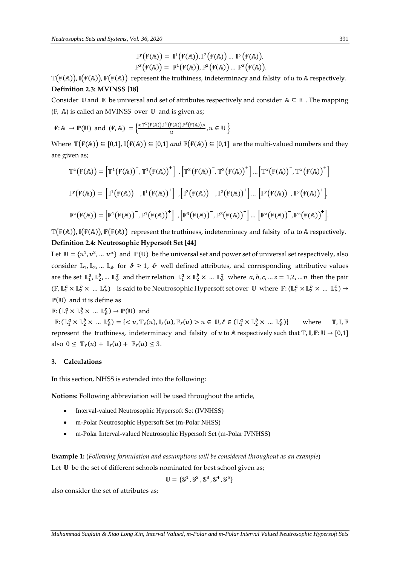$$
\mathbb{I}^{\mathcal{Y}}\big(\mathbb{F}(\mathbb{A})\big)=\mathbb{I}^{1}\big(\mathbb{F}(\mathbb{A})\big),\mathbb{I}^{2}\big(\mathbb{F}(\mathbb{A})\big)\ ...\ \mathbb{I}^{\mathcal{Y}}\big(\mathbb{F}(\mathbb{A})\big),\\ \mathbb{F}^{2}\big(\mathbb{F}(\mathbb{A})\big)=\mathbb{F}^{1}\big(\mathbb{F}(\mathbb{A})\big),\mathbb{F}^{2}\big(\mathbb{F}(\mathbb{A})\big)\ ...\ \mathbb{F}^{2}\big(\mathbb{F}(\mathbb{A})\big).
$$

 $T(F(A)), T(F(A)), F(F(A))$  represent the truthiness, indeterminacy and falsity of u to A respectively. **Definition 2.3: MVINSS [18]**

Consider  $\mathbb U$  and  $\mathbb E$  be universal and set of attributes respectively and consider  $\mathbb A \subseteq \mathbb E$ . The mapping (F, A) is called an MVINSS over  $\mathbb U$  and is given as;

$$
\mathsf{F} : \mathbb{A} \to \mathbb{P}(\mathbb{U}) \text{ and } (\mathsf{F}, \mathbb{A}) = \left\{ \frac{<\mathbb{T}^{\chi}(\mathsf{F}(\mathbb{A})).\mathbb{I}^{\gamma}(\mathsf{F}(\mathbb{A})).\mathbb{I}^{\chi}(\mathsf{F}(\mathbb{A}))>}{u}, u \in \mathbb{U} \right\}
$$

Where  $\mathbb{T}(F(A)) \subseteq [0,1], \mathbb{I}(F(A)) \subseteq [0,1]$  and  $\mathbb{F}(F(A)) \subseteq [0,1]$  are the multi-valued numbers and they are given as;

$$
\mathbb{T}^{x}(\mathcal{F}(\mathbb{A})) = \left[\mathbb{T}^{1}(\mathcal{F}(\mathbb{A}))^{-}, \mathbb{T}^{1}(\mathcal{F}(\mathbb{A}))^{+}\right], \left[\mathbb{T}^{2}(\mathcal{F}(\mathbb{A}))^{-}, \mathbb{T}^{2}(\mathcal{F}(\mathbb{A}))^{+}\right] \dots \left[\mathbb{T}^{x}(\mathcal{F}(\mathbb{A}))^{-}, \mathbb{T}^{x}(\mathcal{F}(\mathbb{A}))^{+}\right]
$$

$$
\mathbb{I}^{y}(\mathcal{F}(\mathbb{A})) = \left[\mathbb{I}^{1}(\mathcal{F}(\mathbb{A}))^{-}, \mathbb{I}^{1}(\mathcal{F}(\mathbb{A}))^{+}\right], \left[\mathbb{I}^{2}(\mathcal{F}(\mathbb{A}))^{-}, \mathbb{I}^{2}(\mathcal{F}(\mathbb{A}))^{+}\right] \dots \left[\mathbb{I}^{y}(\mathcal{F}(\mathbb{A}))^{-}, \mathbb{I}^{y}(\mathcal{F}(\mathbb{A}))^{+}\right],
$$

$$
\mathbb{F}^{z}(\mathcal{F}(\mathbb{A})) = \left[\mathbb{F}^{1}(\mathcal{F}(\mathbb{A}))^{-}, \mathbb{F}^{1}(\mathcal{F}(\mathbb{A}))^{+}\right], \left[\mathbb{F}^{3}(\mathcal{F}(\mathbb{A}))^{-}, \mathbb{F}^{3}(\mathcal{F}(\mathbb{A}))^{+}\right] \dots \left[\mathbb{F}^{z}(\mathcal{F}(\mathbb{A}))^{-}, \mathbb{F}^{z}(\mathcal{F}(\mathbb{A}))^{+}\right].
$$

 $T(F(A))$ ,  $I(F(A))$ ,  $F(F(A))$  represent the truthiness, indeterminacy and falsity of u to A respectively. **Definition 2.4: Neutrosophic Hypersoft Set [44]**

Let  $\mathbb{U} = \{u^1, u^2, ..., u^a\}$  and  $\mathbb{P}(\mathbb{U})$  be the universal set and power set of universal set respectively, also consider  $\mathbb{L}_1, \mathbb{L}_2, ...$   $\mathbb{L}_\ell$  for  $\ell \geq 1$ ,  $\ell$  well defined attributes, and corresponding attributive values are the set  $\mathbb{L}_1^a, \mathbb{L}_2^b, \dots \mathbb{L}_k^z$  and their relation  $\mathbb{L}_1^a \times \mathbb{L}_2^b \times \dots \mathbb{L}_k^z$  where  $a, b, c, \dots z = 1, 2, \dots n$  then the pair  $(\mathbb{F}, \mathbb{L}^a_1 \times \mathbb{L}^b_2 \times ... \mathbb{L}^z_b)$  is said to be Neutrosophic Hypersoft set over  $\mathbb{U}$  where  $\mathbb{F}: (\mathbb{L}^a_1 \times \mathbb{L}^b_2 \times ... \mathbb{L}^z_b) \to$  $\mathbb{P}(\mathbb{U})$  and it is define as

 $\mathbb{F} : (\mathbb{L}^a_1 \times \mathbb{L}^b_2 \times \dots \mathbb{L}^z_\ell) \to \mathbb{P}(\mathbb{U})$  and

 $\mathbb{F}: (\mathbb{L}^a_1 \times \mathbb{L}^b_2 \times \dots \mathbb{L}^z_\ell) = \{ \langle u, \mathbb{T}_\ell(u), \mathbb{I}_\ell(u), \mathbb{F}_\ell(u) > u \in \mathbb{U}, \ell \in (\mathbb{L}^a_1 \times \mathbb{L}^b_2 \times \dots \mathbb{L}^z_\ell) \rangle \}$ where  $\mathbb{T}$ , I, F represent the truthiness, indeterminacy and falsity of  $u$  to  $A$  respectively such that  $T, I, F: U \rightarrow [0,1]$ also  $0 \leq \mathbb{T}_{\ell}(u) + \mathbb{I}_{\ell}(u) + \mathbb{F}_{\ell}(u) \leq 3$ .

# **3. Calculations**

In this section, NHSS is extended into the following:

**Notions:** Following abbreviation will be used throughout the article,

- Interval-valued Neutrosophic Hypersoft Set (IVNHSS)
- m-Polar Neutrosophic Hypersoft Set (m-Polar NHSS)
- m-Polar Interval-valued Neutrosophic Hypersoft Set (m-Polar IVNHSS)

**Example 1:** (*Following formulation and assumptions will be considered throughout as an example*)

Let  $U$  be the set of different schools nominated for best school given as;

$$
\mathbb{U} = \{\mathbb{S}^1, \mathbb{S}^2, \mathbb{S}^3, \mathbb{S}^4, \mathbb{S}^5\}
$$

also consider the set of attributes as;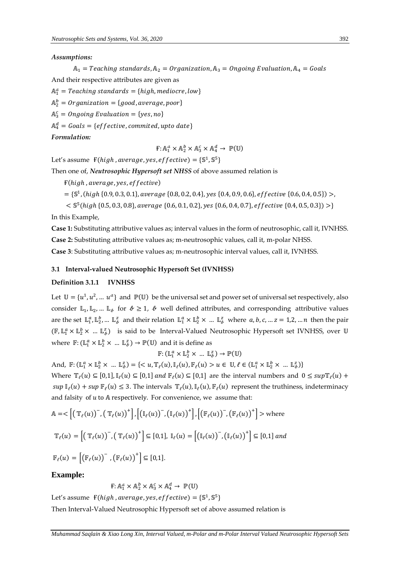### *Assumptions:*

 $A_1$  = Teaching standards,  $A_2$  = Organization,  $A_3$  = Ongoing Evaluation,  $A_4$  = Goals And their respective attributes are given as  $\mathbb{A}^a_1$  = Teaching standards = {high, mediocre, low}

 $\mathbb{A}_2^b$  = Organization = {good, average, poor}

 $\mathbb{A}^c_3$  = Ongoing Evaluation = {yes,no}

 $\mathbb{A}^d_4 = \textit{G} o a l s = \{ \textit{effective}, \textit{committed}, \textit{upto} \textit{ date} \}$ 

*Formulation:*

 $\mathbf{F} \colon \mathbb{A}^a_1 \times \mathbb{A}^b_2 \times \mathbb{A}^c_3 \times \mathbb{A}^d_4 \to \mathbb{P}(\mathbb{U})$ 

Let's assume  $\mathbf{F}(high, average, yes, effective) = \{\mathbb{S}^1, \mathbb{S}^5\}$ 

Then one of, *Neutrosophic Hypersoft set NHSS* of above assumed relation is

 $F(high, average, yes, effective)$ 

 $=$  {S<sup>1</sup>, (high {0.9, 0.3, 0.1}, average {0.8, 0.2, 0.4}, yes {0.4, 0.9, 0.6}, effective {0.6, 0.4, 0.5}) >,

 $<$   $\mathbb{S}^{5}$ (high {0.5, 0.3, 0.8}, average {0.6, 0.1, 0.2}, yes {0.6, 0.4, 0.7}, effective {0.4, 0.5, 0.3}) >}

In this Example,

**Case 1:** Substituting attributive values as; interval values in the form of neutrosophic, call it, IVNHSS. **Case 2:** Substituting attributive values as; m-neutrosophic values, call it, m-polar NHSS.

**Case 3**: Substituting attributive values as; m-neutrosophic interval values, call it, IVNHSS.

### **3.1 Interval-valued Neutrosophic Hypersoft Set (IVNHSS)**

# **Definition 3.1.1 IVNHSS**

Let  $\mathbb{U} = \{u^1, u^2, ..., u^a\}$  and  $\mathbb{P}(\mathbb{U})$  be the universal set and power set of universal set respectively, also consider  $\mathbb{L}_1$ ,  $\mathbb{L}_2$ , ...  $\mathbb{L}_k$  for  $k \geq 1$ ,  $\ell$  well defined attributes, and corresponding attributive values are the set  $\mathbb{L}_1^a, \mathbb{L}_2^b, \dots \mathbb{L}_k^z$  and their relation  $\mathbb{L}_1^a \times \mathbb{L}_2^b \times \dots \mathbb{L}_k^z$  where  $a, b, c, \dots z = 1, 2, \dots n$  then the pair  $(\mathbb{F}, \mathbb{L}^a_1 \times \mathbb{L}^b_2 \times ... \mathbb{L}^z_b)$  is said to be Interval-Valued Neutrosophic Hypersoft set IVNHSS, over U where  $\mathbb{F}: (\mathbb{L}^a_1 \times \mathbb{L}^b_2 \times ... \mathbb{L}^z_k) \to \mathbb{P}(\mathbb{U})$  and it is define as

$$
\mathbb{F}\colon (\mathbb{L}^a_1\times\mathbb{L}^b_2\times\ ...\ \mathbb{L}^z_\ell)\to\mathbb{P}(\mathbb{U})
$$

And,  $\mathbb{F}: (\mathbb{L}^a_1 \times \mathbb{L}^b_2 \times \dots \mathbb{L}^z_\ell) = \{ \langle u, \mathbb{T}_\ell(u), \mathbb{I}_\ell(u), \mathbb{F}_\ell(u) > u \in \mathbb{U}, \ell \in (\mathbb{L}^a_1 \times \mathbb{L}^b_2 \times \dots \mathbb{L}^z_\ell) \}$ 

Where  $\mathbb{T}_{\ell}(u) \subseteq [0,1]$ ,  $\mathbb{I}_{\ell}(u) \subseteq [0,1]$  and  $\mathbb{F}_{\ell}(u) \subseteq [0,1]$  are the interval numbers and  $0 \leq sup \mathbb{T}_{\ell}(u)$  +  $sup \mathbb{I}_{\ell}(u) + sup \mathbb{F}_{\ell}(u) \leq 3$ . The intervals  $\mathbb{T}_{\ell}(u)$ ,  $\mathbb{I}_{\ell}(u)$ ,  $\mathbb{F}_{\ell}(u)$  represent the truthiness, indeterminacy and falsity of *u* to A respectively. For convenience, we assume that:

$$
\mathbb{A} = \langle \left[ \left( \mathbb{T}_{\ell}(u) \right)^{-}, \left( \mathbb{T}_{\ell}(u) \right)^{+} \right], \left[ \left( \mathbb{I}_{\ell}(u) \right)^{-}, \left( \mathbb{I}_{\ell}(u) \right)^{+} \right], \left[ \left( \mathbb{F}_{\ell}(u) \right)^{-}, \left( \mathbb{F}_{\ell}(u) \right)^{+} \right] > \text{where}
$$
\n
$$
\mathbb{T}_{\ell}(u) = \left[ \left( \mathbb{T}_{\ell}(u) \right)^{-}, \left( \mathbb{T}_{\ell}(u) \right)^{+} \right] \subseteq [0,1], \mathbb{I}_{\ell}(u) = \left[ \left( \mathbb{I}_{\ell}(u) \right)^{-}, \left( \mathbb{I}_{\ell}(u) \right)^{+} \right] \subseteq [0,1] \text{ and}
$$
\n
$$
\mathbb{F}_{\ell}(u) = \left[ \left( \mathbb{F}_{\ell}(u) \right)^{-}, \left( \mathbb{F}_{\ell}(u) \right)^{+} \right] \subseteq [0,1].
$$

**Example:** 

$$
F: \mathbb{A}_1^a \times \mathbb{A}_2^b \times \mathbb{A}_3^c \times \mathbb{A}_4^d \to \mathbb{P}(\mathbb{U})
$$

Let's assume  $\mathbf{F}(high, average, yes, effective) = \{\mathbb{S}^1, \mathbb{S}^5\}$ 

Then Interval-Valued Neutrosophic Hypersoft set of above assumed relation is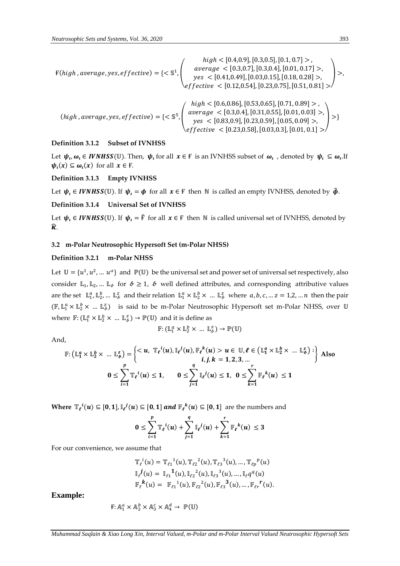$$
F(high, average, yes, effective) = \{< \mathbb{S}^1, \begin{pmatrix} high < [0.4, 0.9], [0.3, 0.5], [0.1, 0.7] >, \ average < [0.3, 0.7], [0.3, 0.4], [0.01, 0.17] >, \ yes < [0.41, 0.49], [0.03, 0.15], [0.18, 0.28] >, \ effective < [0.12, 0.54], [0.23, 0.75], [0.51, 0.81] > \end{pmatrix} > , \begin{pmatrix} high < [0.6, 0.86], [0.53, 0.65], [0.71, 0.89] >, \ age < [0.3, 0.4], [0.31, 0.55], [0.01, 0.03] >, \ yes < [0.83, 0.9], [0.23, 0.59], [0.05, 0.09] >, \ effective < [0.23, 0.58], [0.03, 0.3], [0.01, 0.1] > \end{pmatrix} > \}
$$

# **Definition 3.1.2 Subset of IVNHSS**

Let  $\psi_\nu,\omega_\iota\in IVNHSS(\mathbb{U})$ . Then,  $\psi_\iota$  for all  $x\in\mathbb{F}$  is an IVNHSS subset of  $\omega_\iota$ , denoted by  $\psi_\iota\subseteq\omega_\iota$ . If  $\psi_{\iota}(x) \subseteq \omega_{\iota}(x)$  for all  $x \in F$ .

### **Definition 3.1.3 Empty IVNHSS**

Let  $\psi_t \in IVNHSS(\mathbb{U})$ . If  $\psi_t = \phi$  for all  $x \in \mathbb{F}$  then  $\mathbb{N}$  is called an empty IVNHSS, denoted by  $\hat{\phi}$ .

# **Definition 3.1.4 Universal Set of IVNHSS**

Let  $\psi_i \in IVMHSS(\mathbb{U})$ . If  $\psi_i = \hat{F}$  for all  $x \in F$  then N is called universal set of IVNHSS, denoted by  $\widehat{\mathbf{K}}$ .

### **3.2 m-Polar Neutrosophic Hypersoft Set (m-Polar NHSS)**

### **Definition 3.2.1 m-Polar NHSS**

Let  $\mathbb{U} = \{u^1, u^2, ..., u^a\}$  and  $\mathbb{P}(\mathbb{U})$  be the universal set and power set of universal set respectively, also consider  $\mathbb{L}_1$ ,  $\mathbb{L}_2$ , ...  $\mathbb{L}_k$  for  $k \geq 1$ ,  $\ell$  well defined attributes, and corresponding attributive values are the set  $\mathbb{L}^a_1, \mathbb{L}^b_2, \dots \mathbb{L}^z_k$  and their relation  $\mathbb{L}^a_1 \times \mathbb{L}^b_2 \times \dots \mathbb{L}^z_k$  where  $a, b, c, \dots z = 1, 2, \dots n$  then the pair  $(\mathbb{F}, \mathbb{L}^a_1 \times \mathbb{L}^b_2 \times ... \mathbb{L}^z_b)$  is said to be m-Polar Neutrosophic Hypersoft set m-Polar NHSS, over U where  $\mathbb{F}: (\mathbb{L}^a_1 \times \mathbb{L}^b_2 \times ... \mathbb{L}^z_k) \to \mathbb{P}(\mathbb{U})$  and it is define as

$$
\mathbb{F}\colon (\mathbb{L}^a_1\times\mathbb{L}^b_2\times\ ...\ \mathbb{L}^z_\ell)\to\mathbb{P}(\mathbb{U})
$$

And,

$$
\mathbb{F}: \left(\mathbb{L}_{1}^{a} \times \mathbb{L}_{2}^{b} \times \dots \mathbb{L}_{\theta}^{z}\right) = \begin{cases} , \quad \mathbb{T}_{\ell}^{i}(u), \mathbb{I}_{\ell}^{j}(u), \mathbb{F}_{\ell}^{k}(u) > u \in \mathbb{U}, \ell \in \left(\mathbb{L}_{1}^{a} \times \mathbb{L}_{2}^{b} \times \dots \mathbb{L}_{\theta}^{z}\right) : \\ i, j, k = 1, 2, 3, \dots \end{cases}
$$
 Also  

$$
0 \leq \sum_{i=1}^{p} \mathbb{T}_{\ell}^{i}(u) \leq 1, \quad 0 \leq \sum_{j=1}^{q} \mathbb{I}_{\ell}^{j}(u) \leq 1, \quad 0 \leq \sum_{k=1}^{r} \mathbb{F}_{\ell}^{k}(u) \leq 1
$$

Where  $\mathbb{T}_\ell^{\phantom{i}i}(u) \subseteq [0,1], \mathbb{I}_\ell^{\phantom{i}j}(u) \subseteq [0,1]$  and  $\mathbb{F}_\ell^{\phantom{i}k}(u) \subseteq [0,1]$  are the numbers and

$$
0 \leq \sum_{i=1}^p \mathbb{T}_{\ell}^{\,i}(u) + \sum_{j=1}^q \mathbb{I}_{\ell}^{\,j}(u) + \sum_{k=1}^r \mathbb{F}_{\ell}^{\,k}(u) \leq 3
$$

For our convenience, we assume that

$$
\mathbb{T}_{\ell}{}^{i}(u) = \mathbb{T}_{\ell 1}{}^{1}(u), \mathbb{T}_{\ell 2}{}^{2}(u), \mathbb{T}_{\ell 3}{}^{3}(u), ..., \mathbb{T}_{\ell p}{}^{p}(u) \n\mathbb{I}_{\ell}{}^{j}(u) = \mathbb{I}_{\ell 1}{}^{1}(u), \mathbb{I}_{\ell 2}{}^{2}(u), \mathbb{I}_{\ell 3}{}^{3}(u), ..., \mathbb{I}_{\ell}{}_{q}{}^{q}(u) \n\mathbb{F}_{\ell}{}^{k}(u) = \mathbb{F}_{\ell 1}{}^{1}(u), \mathbb{F}_{\ell 2}{}^{2}(u), \mathbb{F}_{\ell 3}{}^{3}(u), ..., \mathbb{F}_{\ell r}{}^{r}(u).
$$

**Example:** 

$$
F: \mathbb{A}^a_1 \times \mathbb{A}^b_2 \times \mathbb{A}^c_3 \times \mathbb{A}^d_4 \to \mathbb{P}(\mathbb{U})
$$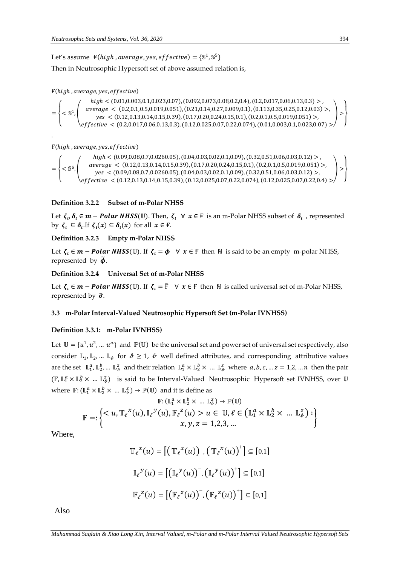Let's assume  $\mathbf{F}(high, average, yes, effective) = \{\mathbb{S}^1, \mathbb{S}^5\}$ Then in Neutrosophic Hypersoft set of above assumed relation is,

# $F(high, average, yes, effective)$

=  $\overline{\mathcal{L}}$  $\mathbf{I}$  $\overline{1}$  $<$   $\mathbb S$ 1 ,  $\bigwedge$ L  $high < (0.01,0.003,0.1,0.023,0.07), (0.092,0.073,0.08,0.2,0.4), (0.2,0.017,0.06,0.13,0.3) >$  $average < (0.2, 0.1, 0.5, 0.019, 0.051), (0.21, 0.14, 0.27, 0.009, 0.1), (0.113, 0.35, 0.25, 0.12, 0.03) >$  < (0.12,0.13,0.14,0.15,0.39), (0.17,0.20,0.24,0.15,0.1), (0.2,0.1,0.5,0.019,0.051) >,  $\textit{effective} < (0.2, 0.017, 0.06, 0.13, 0.3), (0.12, 0.025, 0.07, 0.22, 0.074), (0.01, 0.003, 0.1, 0.023, 0.07) >\n$  $\vert$ }  $\overline{\phantom{a}}$  $\mathbf{I}$ 

 $F(high, average, yes, effective)$ 

.

= \  $\mathbf{I}$  $\overline{1}$  $<$   $\mathbb{S}^{5}$ ,  $\bigwedge$ L  $high < (0.09, 0.08, 0.7, 0.0260.05), (0.04, 0.03, 0.02, 0.1, 0.09), (0.32, 0.51, 0.06, 0.03, 0.12) >$  $average < (0.12,0.13,0.14,0.15,0.39), (0.17,0.20,0.24,0.15,0.1), (0.2,0.1,0.5,0.019,0.051) >$  < (0.09,0.08,0.7,0.0260.05), (0.04,0.03,0.02,0.1,0.09), (0.32,0.51,0.06,0.03,0.12) >,  $\textit{effective} < (0.12, 0.13, 0.14, 0.15, 0.39), (0.12, 0.025, 0.07, 0.22, 0.074), (0.12, 0.025, 0.07, 0.22, 0.4) > /$  $\vert$ }  $\overline{1}$  $\mathbf{I}$ 

# **Definition 3.2.2 Subset of m-Polar NHSS**

Let  $\zeta_\nu\delta_\iota\in m-Polar\,MISS(\mathbb U)$ . Then,  $\zeta_\iota\;\;\forall\;\;x\in\mathbb F$  is an m-Polar NHSS subset of  $\delta_\iota$  , represented by  $\zeta_i \subseteq \delta_i$ . If  $\zeta_i(x) \subseteq \delta_i(x)$  for all  $x \in \mathbb{F}$ .

# **Definition 3.2.3 Empty m-Polar NHSS**

Let  $\zeta_i \in m - Polar NHSS(\mathbb{U})$ . If  $\zeta_i = \phi \quad \forall x \in \mathbb{F}$  then N is said to be an empty m-polar NHSS, represented by  $\widetilde{\phi}$ .

### **Definition 3.2.4 Universal Set of m-Polar NHSS**

Let  $\zeta_i \in m - Polar NHSS(\mathbb{U})$ . If  $\zeta_i = \hat{F} \quad \forall x \in F$  then  $\mathbb N$  is called universal set of m-Polar NHSS, represented by  $\hat{\sigma}$ .

### **3.3 m-Polar Interval-Valued Neutrosophic Hypersoft Set (m-Polar IVNHSS)**

### **Definition 3.3.1: m-Polar IVNHSS)**

Let  $\mathbb{U} = \{u^1, u^2, ..., u^a\}$  and  $\mathbb{P}(\mathbb{U})$  be the universal set and power set of universal set respectively, also consider  $\mathbb{L}_1, \mathbb{L}_2, ...$   $\mathbb{L}_\ell$  for  $\ell \geq 1$ ,  $\ell$  well defined attributes, and corresponding attributive values are the set  $\mathbb{L}^a_1$ ,  $\mathbb{L}^b_2$ , ...  $\mathbb{L}^z_k$  and their relation  $\mathbb{L}^a_1 \times \mathbb{L}^b_2 \times ...$   $\mathbb{L}^z_k$  where  $a, b, c, ... z = 1, 2, ... n$  then the pair (F,  $\mathbb{L}_1^a \times \mathbb{L}_2^b \times ... \mathbb{L}_b^z$ ) is said to be Interval-Valued Neutrosophic Hypersoft set IVNHSS, over U where  $\mathbb{F}: (\mathbb{L}^a_1 \times \mathbb{L}^b_2 \times ... \mathbb{L}^z_b) \to \mathbb{P}(\mathbb{U})$  and it is define as

$$
\mathbb{F}: (\mathbb{L}_{1}^{a} \times \mathbb{L}_{2}^{b} \times \dots \mathbb{L}_{b}^{z}) \to \mathbb{P}(\mathbb{U})
$$
  

$$
\mathbb{F} =: \left\{ \langle u, \mathbb{T}_{\ell}^{x}(u), \mathbb{I}_{\ell}^{y}(u), \mathbb{F}_{\ell}^{z}(u) > u \in \mathbb{U}, \ell \in (\mathbb{L}_{1}^{a} \times \mathbb{L}_{2}^{b} \times \dots \mathbb{L}_{b}^{z}) : \right\}
$$
  
 $x, y, z = 1, 2, 3, \dots$ 

Where,

$$
\mathbb{T}_{\ell}^{x}(u) = \left[ \left( \mathbb{T}_{\ell}^{x}(u) \right)^{-}, \left( \mathbb{T}_{\ell}^{x}(u) \right)^{+} \right] \subseteq [0,1]
$$

$$
\mathbb{I}_{\ell}^{y}(u) = \left[ \left( \mathbb{I}_{\ell}^{y}(u) \right)^{-}, \left( \mathbb{I}_{\ell}^{y}(u) \right)^{+} \right] \subseteq [0,1]
$$

$$
\mathbb{F}_{\ell}^{z}(u) = \left[ \left( \mathbb{F}_{\ell}^{z}(u) \right)^{-}, \left( \mathbb{F}_{\ell}^{z}(u) \right)^{+} \right] \subseteq [0,1]
$$

Also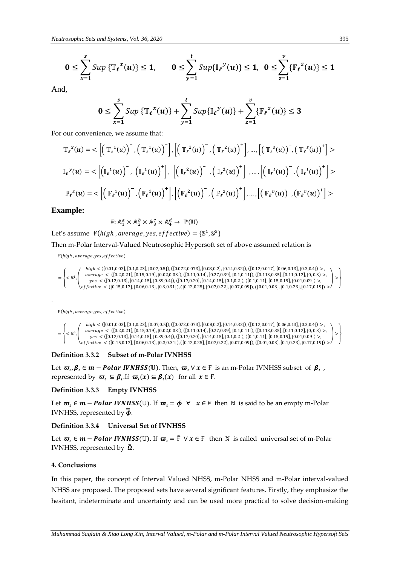$$
0 \leq \sum_{x=1}^{s} \operatorname{Sup} \{ \mathbb{T}_{\ell}^{x}(u) \} \leq 1, \qquad 0 \leq \sum_{y=1}^{t} \operatorname{Sup} \{ \mathbb{I}_{\ell}^{y}(u) \} \leq 1, \ \ 0 \leq \sum_{z=1}^{v} \{ \mathbb{F}_{\ell}^{z}(u) \} \leq 1
$$

And,

$$
0 \leq \sum_{x=1}^{s} Sup \left\{ \mathbb{T}_{\ell}^{x}(u) \right\} + \sum_{y=1}^{t} Sup \left\{ \mathbb{I}_{\ell}^{y}(u) \right\} + \sum_{z=1}^{v} \left\{ \mathbb{F}_{\ell}^{z}(u) \right\} \leq 3
$$

For our convenience, we assume that:

$$
\mathbb{T}_{\ell}^{x}(u) = \langle \left[ \left( \mathbb{T}_{\ell}^{1}(u) \right)^{-}, \left( \mathbb{T}_{\ell}^{1}(u) \right)^{+} \right], \left[ \left( \mathbb{T}_{\ell}^{2}(u) \right)^{-}, \left( \mathbb{T}_{\ell}^{2}(u) \right)^{+} \right], ..., \left[ \left( \mathbb{T}_{\ell}^{s}(u) \right)^{-}, \left( \mathbb{T}_{\ell}^{s}(u) \right)^{+} \right] \rangle
$$
  

$$
\mathbb{I}_{\ell}^{y}(u) = \langle \left[ \left( \mathbb{I}_{\ell}^{1}(u) \right)^{-}, \left( \mathbb{I}_{\ell}^{1}(u) \right)^{+} \right], \left[ \left( \mathbb{I}_{\ell}^{2}(u) \right)^{-}, \left( \mathbb{I}_{\ell}^{2}(u) \right)^{+} \right], ..., \left[ \left( \mathbb{I}_{\ell}^{t}(u) \right)^{-}, \left( \mathbb{I}_{\ell}^{t}(u) \right)^{+} \right] \rangle
$$
  

$$
\mathbb{F}_{\ell}^{z}(u) = \langle \left[ \left( \mathbb{F}_{\ell}^{1}(u) \right)^{-}, \left( \mathbb{F}_{\ell}^{1}(u) \right)^{+} \right], \left[ \left( \mathbb{F}_{\ell}^{2}(u) \right)^{-}, \left( \mathbb{F}_{\ell}^{2}(u) \right)^{+} \right], ..., \left[ \left( \mathbb{F}_{\ell}^{y}(u) \right)^{-}, \left( \mathbb{F}_{\ell}^{y}(u) \right)^{+} \right] \rangle
$$

### **Example:**

=

=

.

 $\mathbf{F} \colon \mathbb{A}^a_1 \times \mathbb{A}^b_2 \times \mathbb{A}^c_3 \times \mathbb{A}^d_4 \to \mathbb{P}(\mathbb{U})$ 

Let's assume  $\mathbf{F}(high, average, yes, effective) = \{\mathbb{S}^1, \mathbb{S}^5\}$ 

### Then m-Polar Interval-Valued Neutrosophic Hypersoft set of above assumed relation is

 $F(high, average, yes, effective)$ 

```
{

\overline{1}< \mathbb{S}^{1},
        \overline{\phantom{a}}L
             high < ( [ 0.01, 0.03], [ 0.1, 0.23], [ 0.07, 0.5] ), ( [ 0.072, 0.073], [ 0.08, 0.2], [ 0.14, 0.32] ), ( [ 0.12, 0.017], [ 0.06, 0.13], [ 0.3, 0.4] ) >average < ([0.2,0.21], [0.15,0.19], [0.02,0.03]), ([0.11,0.14], [0.27,0.39], [0.1,0.11]), ([0.113,0.35], [0.11,0.12], [0,0.3) >
                 < ([0.12,0.13],[0.14,0.15],[0.39,0.4]), ([0.17,0.20],[0.14,0.15],[0.1,0.2]), ([0.1,0.11],[0.15,0.19],[0.01,0.09]) >,
           < ([0.15,0.17],[0.06,0.13],[0.3,0.31]), ([0.12,0.25],[0.07,0.22],[0.07,0.09]), ([0.01,0.03],[0.1,0.23],[0.17,0.19]) >)
                                                                                                                                                                 \vert}
                                                                                                                                                                      \overline{1}\overline{1}
```
 $F(high, average, yes, effective)$ 

{  $\overline{1}$  $<$   $\mathbb{S}^{5}$ ,  $\overline{\phantom{a}}$ L high < ([0.01,0.03], [0.1,0.23], [0.07,0.5]), ([0.072,0.073], [0.08,0.2], [0.14,0.32]), ([0.12,0.017], [0.06,0.13], [0.3,0.4]) > < ([0.2,0.21],[0.15,0.19],[0.02,0.03]), ([0.11,0.14],[0.27,0.39],[0.1,0.11]), ([0.113,0.35],[0.11,0.12],[0, 0.3) >, < ([0.12,0.13],[0.14,0.15],[0.39,0.4]), ([0.17,0.20],[0.14,0.15],[0.1,0.2]), ([0.1,0.11],[0.15,0.19],[0.01,0.09]) >, < ([0.15,0.17],[0.06,0.13],[0.3,0.31]), ([0.12,0.25],[0.07,0.22],[0.07,0.09]), ([0.01,0.03],[0.1,0.23],[0.17,0.19]) >)  $\vert$ }  $\overline{1}$  $\mathbf{I}$ 

#### **Definition 3.3.2 Subset of m-Polar IVNHSS**

Let  $\varpi_{\iota}, \beta_{\iota} \in m-Polar IVNHSS(\mathbb{U})$ . Then,  $\varpi_{\iota} \forall x \in F$  is an m-Polar IVNHSS subset of  $\beta_{\iota}$  , represented by  $\varpi_{\iota} \subseteq \beta_{\iota}$ . If  $\varpi_{\iota}(x) \subseteq \beta_{\iota}(x)$  for all  $x \in F$ .

#### **Definition 3.3.3 Empty IVNHSS**

Let  $\varpi$ ,  $\in$   $m$  – **Polar IVNHSS**(U). If  $\varpi$ ,  $=$   $\phi$   $\forall$   $x \in$  **F** then N is said to be an empty m-Polar IVNHSS, represented by  $\bar{\phi}$ .

# **Definition 3.3.4 Universal Set of IVNHSS**

Let  $\varpi$ ,  $\in$   $m$  – **Polar IVNHSS**(U). If  $\varpi$ ,  $= \hat{F}$   $\forall$   $x \in F$  then N is called universal set of m-Polar IVNHSS, represented by  $\hat{\Omega}$ .

### **4. Conclusions**

In this paper, the concept of Interval Valued NHSS, m-Polar NHSS and m-Polar interval-valued NHSS are proposed. The proposed sets have several significant features. Firstly, they emphasize the hesitant, indeterminate and uncertainty and can be used more practical to solve decision-making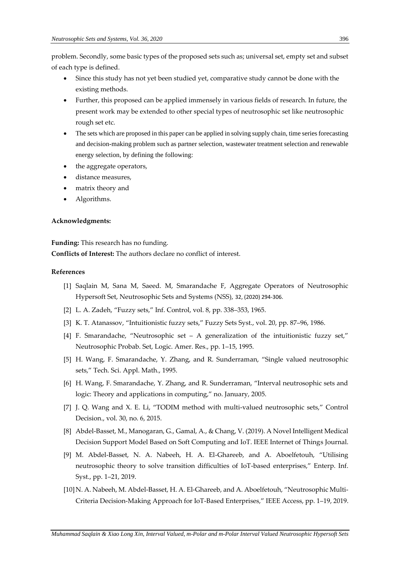problem. Secondly, some basic types of the proposed sets such as; universal set, empty set and subset of each type is defined.

- Since this study has not yet been studied yet, comparative study cannot be done with the existing methods.
- Further, this proposed can be applied immensely in various fields of research. In future, the present work may be extended to other special types of neutrosophic set like neutrosophic rough set etc.
- The sets which are proposed in this paper can be applied in solving supply chain, time series forecasting and decision-making problem such as partner selection, wastewater treatment selection and renewable energy selection, by defining the following:
- the aggregate operators,
- distance measures,
- matrix theory and
- Algorithms.

### **Acknowledgments:**

**Funding:** This research has no funding.

**Conflicts of Interest:** The authors declare no conflict of interest.

# **References**

- [1] Saqlain M, Sana M, Saeed. M, Smarandache F, Aggregate Operators of Neutrosophic Hypersoft Set, Neutrosophic Sets and Systems (NSS), 32, (2020) 294-306.
- [2] L. A. Zadeh, "Fuzzy sets," Inf. Control, vol. 8, pp. 338–353, 1965.
- [3] K. T. Atanassov, "Intuitionistic fuzzy sets," Fuzzy Sets Syst., vol. 20, pp. 87–96, 1986.
- [4] F. Smarandache, "Neutrosophic set A generalization of the intuitionistic fuzzy set," Neutrosophic Probab. Set, Logic. Amer. Res., pp. 1–15, 1995.
- [5] H. Wang, F. Smarandache, Y. Zhang, and R. Sunderraman, "Single valued neutrosophic sets," Tech. Sci. Appl. Math., 1995.
- [6] H. Wang, F. Smarandache, Y. Zhang, and R. Sunderraman, "Interval neutrosophic sets and logic: Theory and applications in computing," no. January, 2005.
- [7] J. Q. Wang and X. E. Li, "TODIM method with multi-valued neutrosophic sets," Control Decision., vol. 30, no. 6, 2015.
- [8] Abdel-Basset, M., Manogaran, G., Gamal, A., & Chang, V. (2019). A Novel Intelligent Medical Decision Support Model Based on Soft Computing and IoT. IEEE Internet of Things Journal.
- [9] M. Abdel-Basset, N. A. Nabeeh, H. A. El-Ghareeb, and A. Aboelfetouh, "Utilising neutrosophic theory to solve transition difficulties of IoT-based enterprises," Enterp. Inf. Syst., pp. 1–21, 2019.
- [10]N. A. Nabeeh, M. Abdel-Basset, H. A. El-Ghareeb, and A. Aboelfetouh, "Neutrosophic Multi-Criteria Decision-Making Approach for IoT-Based Enterprises," IEEE Access, pp. 1–19, 2019.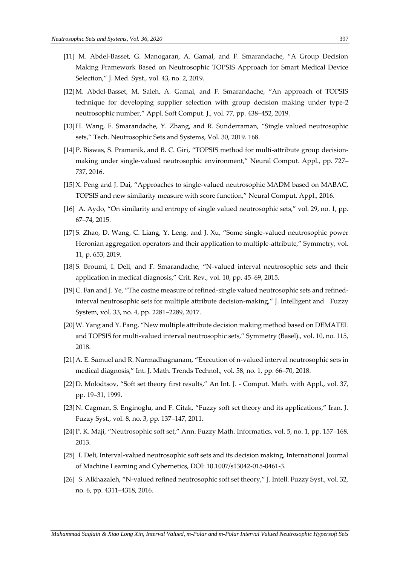- [11] M. Abdel-Basset, G. Manogaran, A. Gamal, and F. Smarandache, "A Group Decision Making Framework Based on Neutrosophic TOPSIS Approach for Smart Medical Device Selection," J. Med. Syst., vol. 43, no. 2, 2019.
- [12]M. Abdel-Basset, M. Saleh, A. Gamal, and F. Smarandache, "An approach of TOPSIS technique for developing supplier selection with group decision making under type-2 neutrosophic number," Appl. Soft Comput. J., vol. 77, pp. 438–452, 2019.
- [13]H. Wang, F. Smarandache, Y. Zhang, and R. Sunderraman, "Single valued neutrosophic sets," Tech. Neutrosophic Sets and Systems, Vol. 30, 2019. 168.
- [14]P. Biswas, S. Pramanik, and B. C. Giri, "TOPSIS method for multi-attribute group decisionmaking under single-valued neutrosophic environment," Neural Comput. Appl., pp. 727– 737, 2016.
- [15]X. Peng and J. Dai, "Approaches to single-valued neutrosophic MADM based on MABAC, TOPSIS and new similarity measure with score function," Neural Comput. Appl., 2016.
- [16] A. Aydo, "On similarity and entropy of single valued neutrosophic sets," vol. 29, no. 1, pp. 67–74, 2015.
- [17]S. Zhao, D. Wang, C. Liang, Y. Leng, and J. Xu, "Some single-valued neutrosophic power Heronian aggregation operators and their application to multiple-attribute," Symmetry, vol. 11, p. 653, 2019.
- [18]S. Broumi, I. Deli, and F. Smarandache, "N-valued interval neutrosophic sets and their application in medical diagnosis," Crit. Rev., vol. 10, pp. 45–69, 2015.
- [19]C. Fan and J. Ye, "The cosine measure of refined-single valued neutrosophic sets and refinedinterval neutrosophic sets for multiple attribute decision-making," J. Intelligent and Fuzzy System, vol. 33, no. 4, pp. 2281–2289, 2017.
- [20]W. Yang and Y. Pang, "New multiple attribute decision making method based on DEMATEL and TOPSIS for multi-valued interval neutrosophic sets," Symmetry (Basel)., vol. 10, no. 115, 2018.
- [21]A. E. Samuel and R. Narmadhagnanam, "Execution of n-valued interval neutrosophic sets in medical diagnosis," Int. J. Math. Trends Technol., vol. 58, no. 1, pp. 66–70, 2018.
- [22]D. Molodtsov, "Soft set theory first results," An Int. J. Comput. Math. with Appl., vol. 37, pp. 19–31, 1999.
- [23] N. Cagman, S. Enginoglu, and F. Citak, "Fuzzy soft set theory and its applications," Iran. J. Fuzzy Syst., vol. 8, no. 3, pp. 137–147, 2011.
- [24]P. K. Maji, "Neutrosophic soft set," Ann. Fuzzy Math. Informatics, vol. 5, no. 1, pp. 157–168, 2013.
- [25] I. Deli, Interval-valued neutrosophic soft sets and its decision making, International Journal of Machine Learning and Cybernetics, DOI: 10.1007/s13042-015-0461-3.
- [26] S. Alkhazaleh, "N-valued refined neutrosophic soft set theory," J. Intell. Fuzzy Syst., vol. 32, no. 6, pp. 4311–4318, 2016.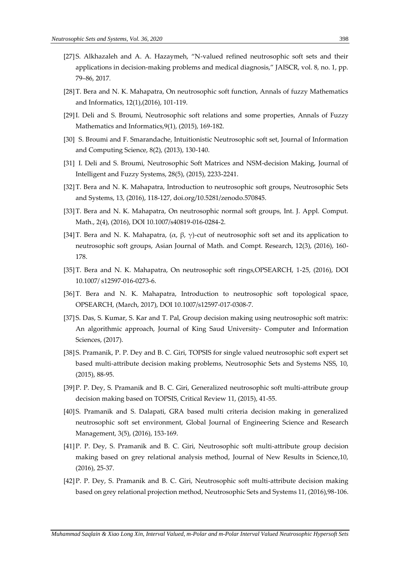- [27]S. Alkhazaleh and A. A. Hazaymeh, "N-valued refined neutrosophic soft sets and their applications in decision-making problems and medical diagnosis," JAISCR, vol. 8, no. 1, pp. 79–86, 2017.
- [28]T. Bera and N. K. Mahapatra, On neutrosophic soft function, Annals of fuzzy Mathematics and Informatics, 12(1),(2016), 101-119.
- [29]I. Deli and S. Broumi, Neutrosophic soft relations and some properties, Annals of Fuzzy Mathematics and Informatics,9(1), (2015), 169-182.
- [30] S. Broumi and F. Smarandache, Intuitionistic Neutrosophic soft set, Journal of Information and Computing Science, 8(2), (2013), 130-140.
- [31] I. Deli and S. Broumi, Neutrosophic Soft Matrices and NSM-decision Making, Journal of Intelligent and Fuzzy Systems, 28(5), (2015), 2233-2241.
- [32]T. Bera and N. K. Mahapatra, Introduction to neutrosophic soft groups, Neutrosophic Sets and Systems, 13, (2016), 118-127, doi.org/10.5281/zenodo.570845.
- [33]T. Bera and N. K. Mahapatra, On neutrosophic normal soft groups, Int. J. Appl. Comput. Math., 2(4), (2016), DOI 10.1007/s40819-016-0284-2.
- [34] T. Bera and N. K. Mahapatra, ( $\alpha$ ,  $\beta$ ,  $\gamma$ )-cut of neutrosophic soft set and its application to neutrosophic soft groups, Asian Journal of Math. and Compt. Research, 12(3), (2016), 160- 178.
- [35]T. Bera and N. K. Mahapatra, On neutrosophic soft rings,OPSEARCH, 1-25, (2016), DOI 10.1007/ s12597-016-0273-6.
- [36]T. Bera and N. K. Mahapatra, Introduction to neutrosophic soft topological space, OPSEARCH, (March, 2017), DOI 10.1007/s12597-017-0308-7.
- [37] S. Das, S. Kumar, S. Kar and T. Pal, Group decision making using neutrosophic soft matrix: An algorithmic approach, Journal of King Saud University- Computer and Information Sciences, (2017).
- [38]S. Pramanik, P. P. Dey and B. C. Giri, TOPSIS for single valued neutrosophic soft expert set based multi-attribute decision making problems, Neutrosophic Sets and Systems NSS, 10, (2015), 88-95.
- [39]P. P. Dey, S. Pramanik and B. C. Giri, Generalized neutrosophic soft multi-attribute group decision making based on TOPSIS, Critical Review 11, (2015), 41-55.
- [40]S. Pramanik and S. Dalapati, GRA based multi criteria decision making in generalized neutrosophic soft set environment, Global Journal of Engineering Science and Research Management, 3(5), (2016), 153-169.
- [41]P. P. Dey, S. Pramanik and B. C. Giri, Neutrosophic soft multi-attribute group decision making based on grey relational analysis method, Journal of New Results in Science,10, (2016), 25-37.
- [42]P. P. Dey, S. Pramanik and B. C. Giri, Neutrosophic soft multi-attribute decision making based on grey relational projection method, Neutrosophic Sets and Systems 11, (2016),98-106.